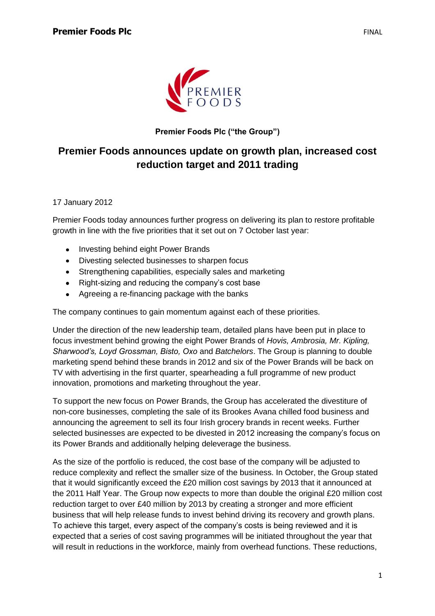

**Premier Foods Plc ("the Group")**

## **Premier Foods announces update on growth plan, increased cost reduction target and 2011 trading**

17 January 2012

Premier Foods today announces further progress on delivering its plan to restore profitable growth in line with the five priorities that it set out on 7 October last year:

- Investing behind eight Power Brands  $\bullet$
- Divesting selected businesses to sharpen focus
- Strengthening capabilities, especially sales and marketing
- Right-sizing and reducing the company's cost base
- Agreeing a re-financing package with the banks

The company continues to gain momentum against each of these priorities.

Under the direction of the new leadership team, detailed plans have been put in place to focus investment behind growing the eight Power Brands of *Hovis, Ambrosia, Mr. Kipling, Sharwood's, Loyd Grossman, Bisto, Oxo* and *Batchelors*. The Group is planning to double marketing spend behind these brands in 2012 and six of the Power Brands will be back on TV with advertising in the first quarter, spearheading a full programme of new product innovation, promotions and marketing throughout the year.

To support the new focus on Power Brands, the Group has accelerated the divestiture of non-core businesses, completing the sale of its Brookes Avana chilled food business and announcing the agreement to sell its four Irish grocery brands in recent weeks. Further selected businesses are expected to be divested in 2012 increasing the company's focus on its Power Brands and additionally helping deleverage the business.

As the size of the portfolio is reduced, the cost base of the company will be adjusted to reduce complexity and reflect the smaller size of the business. In October, the Group stated that it would significantly exceed the £20 million cost savings by 2013 that it announced at the 2011 Half Year. The Group now expects to more than double the original £20 million cost reduction target to over £40 million by 2013 by creating a stronger and more efficient business that will help release funds to invest behind driving its recovery and growth plans. To achieve this target, every aspect of the company's costs is being reviewed and it is expected that a series of cost saving programmes will be initiated throughout the year that will result in reductions in the workforce, mainly from overhead functions. These reductions,